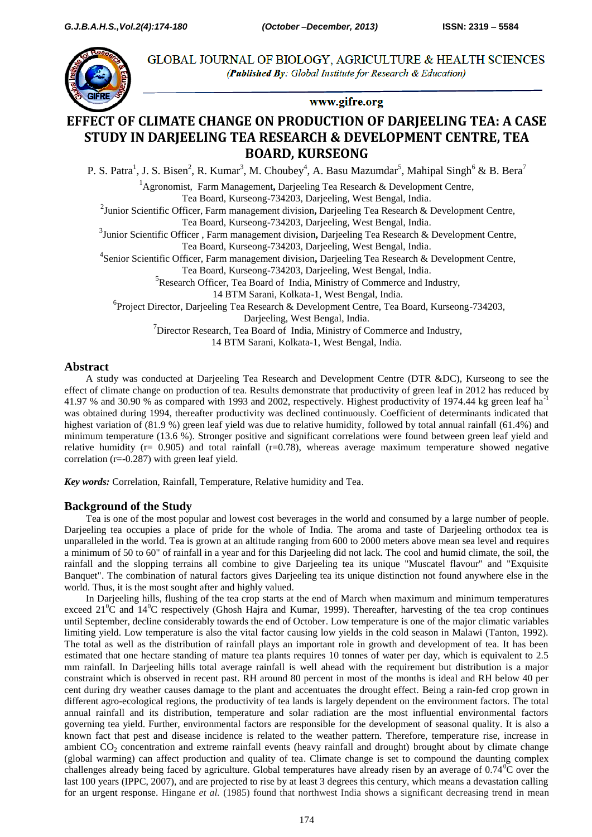

GLOBAL JOURNAL OF BIOLOGY, AGRICULTURE & HEALTH SCIENCES (Published By: Global Institute for Research & Education)

### www.gifre.org

# **EFFECT OF CLIMATE CHANGE ON PRODUCTION OF DARJEELING TEA: A CASE STUDY IN DARJEELING TEA RESEARCH & DEVELOPMENT CENTRE, TEA BOARD, KURSEONG**

P. S. Patra<sup>1</sup>, J. S. Bisen<sup>2</sup>, R. Kumar<sup>3</sup>, M. Choubey<sup>4</sup>, A. Basu Mazumdar<sup>5</sup>, Mahipal Singh<sup>6</sup> & B. Bera<sup>7</sup>

<sup>1</sup>Agronomist, Farm Management**,** Darjeeling Tea Research & Development Centre, Tea Board, Kurseong-734203, Darjeeling, West Bengal, India.

2 Junior Scientific Officer, Farm management division**,** Darjeeling Tea Research & Development Centre,

Tea Board, Kurseong-734203, Darjeeling, West Bengal, India.

3 Junior Scientific Officer , Farm management division**,** Darjeeling Tea Research & Development Centre,

Tea Board, Kurseong-734203, Darjeeling, West Bengal, India.

4 Senior Scientific Officer, Farm management division**,** Darjeeling Tea Research & Development Centre,

Tea Board, Kurseong-734203, Darjeeling, West Bengal, India.

<sup>5</sup>Research Officer, Tea Board of India, Ministry of Commerce and Industry,

14 BTM Sarani, Kolkata-1, West Bengal, India.

6 Project Director, Darjeeling Tea Research & Development Centre, Tea Board, Kurseong-734203,

Darjeeling, West Bengal, India.

 $\sigma$ Director Research, Tea Board of India, Ministry of Commerce and Industry,

14 BTM Sarani, Kolkata-1, West Bengal, India.

# **Abstract**

A study was conducted at Darjeeling Tea Research and Development Centre (DTR &DC), Kurseong to see the effect of climate change on production of tea. Results demonstrate that productivity of green leaf in 2012 has reduced by 41.97 % and 30.90 % as compared with 1993 and 2002, respectively. Highest productivity of 1974.44 kg green leaf ha-1 was obtained during 1994, thereafter productivity was declined continuously. Coefficient of determinants indicated that highest variation of (81.9 %) green leaf yield was due to relative humidity, followed by total annual rainfall (61.4%) and minimum temperature (13.6 %). Stronger positive and significant correlations were found between green leaf yield and relative humidity ( $r= 0.905$ ) and total rainfall ( $r=0.78$ ), whereas average maximum temperature showed negative correlation (r=-0.287) with green leaf yield.

*Key words:* Correlation, Rainfall, Temperature, Relative humidity and Tea.

# **Background of the Study**

Tea is one of the most popular and lowest cost beverages in the world and consumed by a large number of people. Darjeeling tea occupies a place of pride for the whole of India. The aroma and taste of Darjeeling orthodox tea is unparalleled in the world. Tea is grown at an altitude ranging from 600 to 2000 meters above mean sea level and requires a minimum of 50 to 60" of rainfall in a year and for this Darjeeling did not lack. The cool and humid climate, the soil, the rainfall and the slopping terrains all combine to give Darjeeling tea its unique "Muscatel flavour" and "Exquisite Banquet". The combination of natural factors gives Darjeeling tea its unique distinction not found anywhere else in the world. Thus, it is the most sought after and highly valued.

In Darjeeling hills, flushing of the tea crop starts at the end of March when maximum and minimum temperatures exceed  $21^0$ C and  $14^0$ C respectively (Ghosh Hajra and Kumar, 1999). Thereafter, harvesting of the tea crop continues until September, decline considerably towards the end of October. Low temperature is one of the major climatic variables limiting yield. Low temperature is also the vital factor causing low yields in the cold season in Malawi (Tanton, 1992). The total as well as the distribution of rainfall plays an important role in growth and development of tea. It has been estimated that one hectare standing of mature tea plants requires 10 tonnes of water per day, which is equivalent to 2.5 mm rainfall. In Darjeeling hills total average rainfall is well ahead with the requirement but distribution is a major constraint which is observed in recent past. RH around 80 percent in most of the months is ideal and RH below 40 per cent during dry weather causes damage to the plant and accentuates the drought effect. Being a rain-fed crop grown in different agro-ecological regions, the productivity of tea lands is largely dependent on the environment factors. The total annual rainfall and its distribution, temperature and solar radiation are the most influential environmental factors governing tea yield. Further, environmental factors are responsible for the development of seasonal quality. It is also a known fact that pest and disease incidence is related to the weather pattern. Therefore, temperature rise, increase in ambient  $CO<sub>2</sub>$  concentration and extreme rainfall events (heavy rainfall and drought) brought about by climate change (global warming) can affect production and quality of tea. Climate change is set to compound the daunting complex challenges already being faced by agriculture. Global temperatures have already risen by an average of  $0.74\text{°C}$  over the last 100 years (IPPC, 2007), and are projected to rise by at least 3 degrees this century, which means a devastation calling for an urgent response. Hingane *et al.* (1985) found that northwest India shows a significant decreasing trend in mean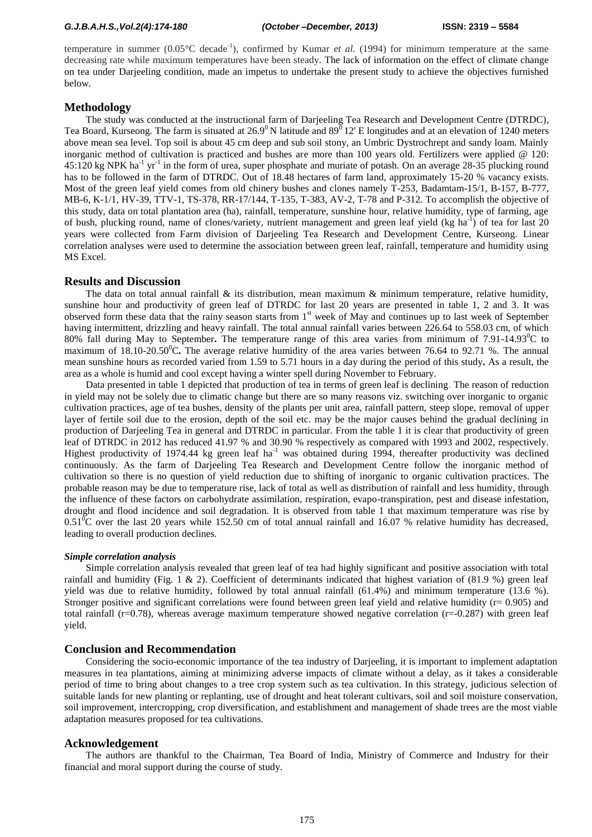#### *G.J.B.A.H.S.,Vol.2(4):174-180 (October –December, 2013)* **ISSN: 2319 – 5584**

temperature in summer  $(0.05^{\circ}C \text{ decade}^{-1})$ , confirmed by Kumar *et al.* (1994) for minimum temperature at the same decreasing rate while maximum temperatures have been steady. The lack of information on the effect of climate change on tea under Darjeeling condition, made an impetus to undertake the present study to achieve the objectives furnished below.

### **Methodology**

The study was conducted at the instructional farm of Darjeeling Tea Research and Development Centre (DTRDC), Tea Board, Kurseong. The farm is situated at  $26.9^{\circ}$  N latitude and  $89^{\circ}$  12' E longitudes and at an elevation of 1240 meters above mean sea level. Top soil is about 45 cm deep and sub soil stony, an Umbric Dystrochrept and sandy loam. Mainly inorganic method of cultivation is practiced and bushes are more than 100 years old. Fertilizers were applied @ 120:  $45:120$  kg NPK ha<sup>-1</sup> yr<sup>-1</sup> in the form of urea, super phosphate and muriate of potash. On an average 28-35 plucking round has to be followed in the farm of DTRDC. Out of 18.48 hectares of farm land, approximately 15-20 % vacancy exists. Most of the green leaf yield comes from old chinery bushes and clones namely T-253, Badamtam-15/1, B-157, B-777, MB-6, K-1/1, HV-39, TTV-1, TS-378, RR-17/144, T-135, T-383, AV-2, T-78 and P-312. To accomplish the objective of this study, data on total plantation area (ha), rainfall, temperature, sunshine hour, relative humidity, type of farming, age of bush, plucking round, name of clones/variety, nutrient management and green leaf yield (kg ha<sup>-1</sup>) of tea for last 20 years were collected from Farm division of Darjeeling Tea Research and Development Centre, Kurseong. Linear correlation analyses were used to determine the association between green leaf, rainfall, temperature and humidity using MS Excel.

#### **Results and Discussion**

The data on total annual rainfall  $\&$  its distribution, mean maximum  $\&$  minimum temperature, relative humidity, sunshine hour and productivity of green leaf of DTRDC for last 20 years are presented in table 1, 2 and 3. It was observed form these data that the rainy season starts from 1<sup>st</sup> week of May and continues up to last week of September having intermittent, drizzling and heavy rainfall. The total annual rainfall varies between 226.64 to 558.03 cm, of which 80% fall during May to September. The temperature range of this area varies from minimum of 7.91-14.93<sup>o</sup>C to maximum of 18.10-20.50<sup>o</sup>C. The average relative humidity of the area varies between 76.64 to 92.71 %. The annual mean sunshine hours as recorded varied from 1.59 to 5.71 hours in a day during the period of this study**.** As a result, the area as a whole is humid and cool except having a winter spell during November to February.

Data presented in table 1 depicted that production of tea in terms of green leaf is declining. The reason of reduction in yield may not be solely due to climatic change but there are so many reasons viz. switching over inorganic to organic cultivation practices, age of tea bushes, density of the plants per unit area, rainfall pattern, steep slope, removal of upper layer of fertile soil due to the erosion, depth of the soil etc. may be the major causes behind the gradual declining in production of Darjeeling Tea in general and DTRDC in particular. From the table 1 it is clear that productivity of green leaf of DTRDC in 2012 has reduced 41.97 % and 30.90 % respectively as compared with 1993 and 2002, respectively. Highest productivity of 1974.44 kg green leaf ha<sup>-1</sup> was obtained during 1994, thereafter productivity was declined continuously. As the farm of Darjeeling Tea Research and Development Centre follow the inorganic method of cultivation so there is no question of yield reduction due to shifting of inorganic to organic cultivation practices. The probable reason may be due to temperature rise, lack of total as well as distribution of rainfall and less humidity, through the influence of these factors on carbohydrate assimilation, respiration, evapo-transpiration, pest and disease infestation, drought and flood incidence and soil degradation. It is observed from table 1 that maximum temperature was rise by  $0.51^{\circ}$ C over the last 20 years while 152.50 cm of total annual rainfall and 16.07 % relative humidity has decreased, leading to overall production declines.

#### *Simple correlation analysis*

Simple correlation analysis revealed that green leaf of tea had highly significant and positive association with total rainfall and humidity (Fig. 1 & 2). Coefficient of determinants indicated that highest variation of  $(81.9\%)$  green leaf yield was due to relative humidity, followed by total annual rainfall (61.4%) and minimum temperature (13.6 %). Stronger positive and significant correlations were found between green leaf yield and relative humidity ( $r= 0.905$ ) and total rainfall ( $r=0.78$ ), whereas average maximum temperature showed negative correlation ( $r=-0.287$ ) with green leaf yield.

### **Conclusion and Recommendation**

Considering the socio-economic importance of the tea industry of Darjeeling, it is important to implement adaptation measures in tea plantations, aiming at minimizing adverse impacts of climate without a delay, as it takes a considerable period of time to bring about changes to a tree crop system such as tea cultivation. In this strategy, judicious selection of suitable lands for new planting or replanting, use of drought and heat tolerant cultivars, soil and soil moisture conservation, soil improvement, intercropping, crop diversification, and establishment and management of shade trees are the most viable adaptation measures proposed for tea cultivations.

#### **Acknowledgement**

The authors are thankful to the Chairman, Tea Board of India, Ministry of Commerce and Industry for their financial and moral support during the course of study.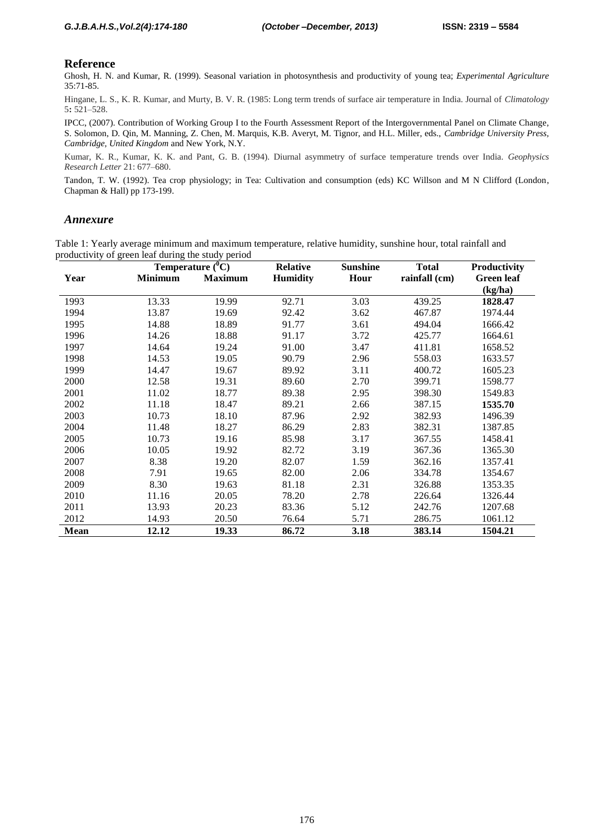### **Reference**

Ghosh, H. N. and Kumar, R. (1999). Seasonal variation in photosynthesis and productivity of young tea; *Experimental Agriculture* 35:71-85.

Hingane, L. S., K. R. Kumar, and Murty, B. V. R. (1985: Long term trends of surface air temperature in India. Journal of *Climatology*  5**:** 521–528.

IPCC, (2007). Contribution of Working Group I to the Fourth Assessment Report of the Intergovernmental Panel on Climate Change, S. Solomon, D. Qin, M. Manning, Z. Chen, M. Marquis, K.B. Averyt, M. Tignor, and H.L. Miller, eds., *Cambridge University Press, Cambridge, United Kingdom* and New York, N.Y.

Kumar, K. R., Kumar, K. K. and Pant, G. B. (1994). Diurnal asymmetry of surface temperature trends over India. *Geophysics Research Letter* 21: 677–680.

Tandon, T. W. (1992). Tea crop physiology; in Tea: Cultivation and consumption (eds) KC Willson and M N Clifford (London, Chapman & Hall) pp 173-199.

### *Annexure*

Table 1: Yearly average minimum and maximum temperature, relative humidity, sunshine hour, total rainfall and productivity of green leaf during the study period

|             |                | Temperature $\overline{({}^0C)}$ | <b>Relative</b> | <b>Sunshine</b> | <b>Total</b>  | Productivity      |  |  |
|-------------|----------------|----------------------------------|-----------------|-----------------|---------------|-------------------|--|--|
| Year        | <b>Minimum</b> | <b>Maximum</b>                   | <b>Humidity</b> | Hour            | rainfall (cm) | <b>Green</b> leaf |  |  |
|             |                |                                  |                 |                 |               | (kg/ha)           |  |  |
| 1993        | 13.33          | 19.99                            | 92.71           | 3.03            | 439.25        | 1828.47           |  |  |
| 1994        | 13.87          | 19.69                            | 92.42           | 3.62            | 467.87        | 1974.44           |  |  |
| 1995        | 14.88          | 18.89                            | 91.77           | 3.61            | 494.04        | 1666.42           |  |  |
| 1996        | 14.26          | 18.88                            | 91.17           | 3.72            | 425.77        | 1664.61           |  |  |
| 1997        | 14.64          | 19.24                            | 91.00           | 3.47            | 411.81        | 1658.52           |  |  |
| 1998        | 14.53          | 19.05                            | 90.79           | 2.96            | 558.03        | 1633.57           |  |  |
| 1999        | 14.47          | 19.67                            | 89.92           | 3.11            | 400.72        | 1605.23           |  |  |
| 2000        | 12.58          | 19.31                            | 89.60           | 2.70            | 399.71        | 1598.77           |  |  |
| 2001        | 11.02          | 18.77                            | 89.38           | 2.95            | 398.30        | 1549.83           |  |  |
| 2002        | 11.18          | 18.47                            | 89.21           | 2.66            | 387.15        | 1535.70           |  |  |
| 2003        | 10.73          | 18.10                            | 87.96           | 2.92            | 382.93        | 1496.39           |  |  |
| 2004        | 11.48          | 18.27                            | 86.29           | 2.83            | 382.31        | 1387.85           |  |  |
| 2005        | 10.73          | 19.16                            | 85.98           | 3.17            | 367.55        | 1458.41           |  |  |
| 2006        | 10.05          | 19.92                            | 82.72           | 3.19            | 367.36        | 1365.30           |  |  |
| 2007        | 8.38           | 19.20                            | 82.07           | 1.59            | 362.16        | 1357.41           |  |  |
| 2008        | 7.91           | 19.65                            | 82.00           | 2.06            | 334.78        | 1354.67           |  |  |
| 2009        | 8.30           | 19.63                            | 81.18           | 2.31            | 326.88        | 1353.35           |  |  |
| 2010        | 11.16          | 20.05                            | 78.20           | 2.78            | 226.64        | 1326.44           |  |  |
| 2011        | 13.93          | 20.23                            | 83.36           | 5.12            | 242.76        | 1207.68           |  |  |
| 2012        | 14.93          | 20.50                            | 76.64           | 5.71            | 286.75        | 1061.12           |  |  |
| <b>Mean</b> | 12.12          | 19.33                            | 86.72           | 3.18            | 383.14        | 1504.21           |  |  |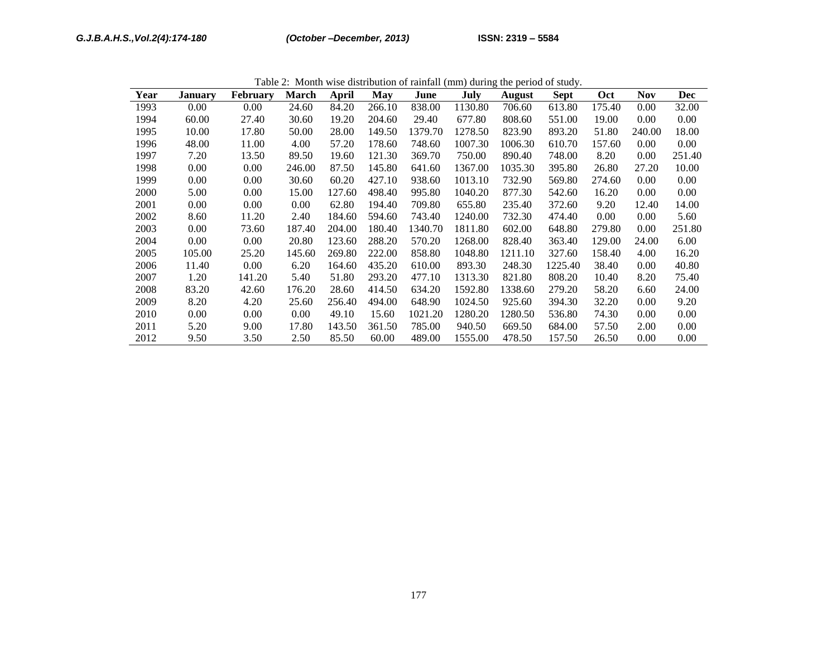|      | Table 2. Month wise distribution of familian (film) during the period of study. |                 |              |              |        |         |         |               |             |            |            |            |  |
|------|---------------------------------------------------------------------------------|-----------------|--------------|--------------|--------|---------|---------|---------------|-------------|------------|------------|------------|--|
| Year | <b>January</b>                                                                  | <b>February</b> | <b>March</b> | May<br>April |        | June    | July    | <b>August</b> | <b>Sept</b> | <b>Oct</b> | <b>Nov</b> | <b>Dec</b> |  |
| 1993 | 0.00                                                                            | 0.00            | 24.60        | 84.20        | 266.10 | 838.00  | 1130.80 | 706.60        | 613.80      | 175.40     | 0.00       | 32.00      |  |
| 1994 | 60.00                                                                           | 27.40           | 30.60        | 19.20        | 204.60 | 29.40   | 677.80  | 808.60        | 551.00      | 19.00      | 0.00       | 0.00       |  |
| 1995 | 10.00                                                                           | 17.80           | 50.00        | 28.00        | 149.50 | 1379.70 | 1278.50 | 823.90        | 893.20      | 51.80      | 240.00     | 18.00      |  |
| 1996 | 48.00                                                                           | 11.00           | 4.00         | 57.20        | 178.60 | 748.60  | 1007.30 | 1006.30       | 610.70      | 157.60     | 0.00       | 0.00       |  |
| 1997 | 7.20                                                                            | 13.50           | 89.50        | 19.60        | 121.30 | 369.70  | 750.00  | 890.40        | 748.00      | 8.20       | 0.00       | 251.40     |  |
| 1998 | 0.00                                                                            | 0.00            | 246.00       | 87.50        | 145.80 | 641.60  | 1367.00 | 1035.30       | 395.80      | 26.80      | 27.20      | 10.00      |  |
| 1999 | 0.00                                                                            | 0.00            | 30.60        | 60.20        | 427.10 | 938.60  | 1013.10 | 732.90        | 569.80      | 274.60     | 0.00       | 0.00       |  |
| 2000 | 5.00                                                                            | 0.00            | 15.00        | 127.60       | 498.40 | 995.80  | 1040.20 | 877.30        | 542.60      | 16.20      | 0.00       | 0.00       |  |
| 2001 | 0.00                                                                            | 0.00            | 0.00         | 62.80        | 194.40 | 709.80  | 655.80  | 235.40        | 372.60      | 9.20       | 12.40      | 14.00      |  |
| 2002 | 8.60                                                                            | 11.20           | 2.40         | 184.60       | 594.60 | 743.40  | 1240.00 | 732.30        | 474.40      | 0.00       | 0.00       | 5.60       |  |
| 2003 | 0.00                                                                            | 73.60           | 187.40       | 204.00       | 180.40 | 1340.70 | 1811.80 | 602.00        | 648.80      | 279.80     | 0.00       | 251.80     |  |
| 2004 | 0.00                                                                            | 0.00            | 20.80        | 123.60       | 288.20 | 570.20  | 1268.00 | 828.40        | 363.40      | 129.00     | 24.00      | 6.00       |  |
| 2005 | 105.00                                                                          | 25.20           | 145.60       | 269.80       | 222.00 | 858.80  | 1048.80 | 1211.10       | 327.60      | 158.40     | 4.00       | 16.20      |  |
| 2006 | 11.40                                                                           | 0.00            | 6.20         | 164.60       | 435.20 | 610.00  | 893.30  | 248.30        | 1225.40     | 38.40      | 0.00       | 40.80      |  |
| 2007 | 1.20                                                                            | 141.20          | 5.40         | 51.80        | 293.20 | 477.10  | 1313.30 | 821.80        | 808.20      | 10.40      | 8.20       | 75.40      |  |
| 2008 | 83.20                                                                           | 42.60           | 176.20       | 28.60        | 414.50 | 634.20  | 1592.80 | 1338.60       | 279.20      | 58.20      | 6.60       | 24.00      |  |
| 2009 | 8.20                                                                            | 4.20            | 25.60        | 256.40       | 494.00 | 648.90  | 1024.50 | 925.60        | 394.30      | 32.20      | 0.00       | 9.20       |  |
| 2010 | 0.00                                                                            | 0.00            | 0.00         | 49.10        | 15.60  | 1021.20 | 1280.20 | 1280.50       | 536.80      | 74.30      | 0.00       | 0.00       |  |
| 2011 | 5.20                                                                            | 9.00            | 17.80        | 143.50       | 361.50 | 785.00  | 940.50  | 669.50        | 684.00      | 57.50      | 2.00       | 0.00       |  |
| 2012 | 9.50                                                                            | 3.50            | 2.50         | 85.50        | 60.00  | 489.00  | 1555.00 | 478.50        | 157.50      | 26.50      | 0.00       | 0.00       |  |

Table 2: Month wise distribution of rainfall (mm) during the period of study.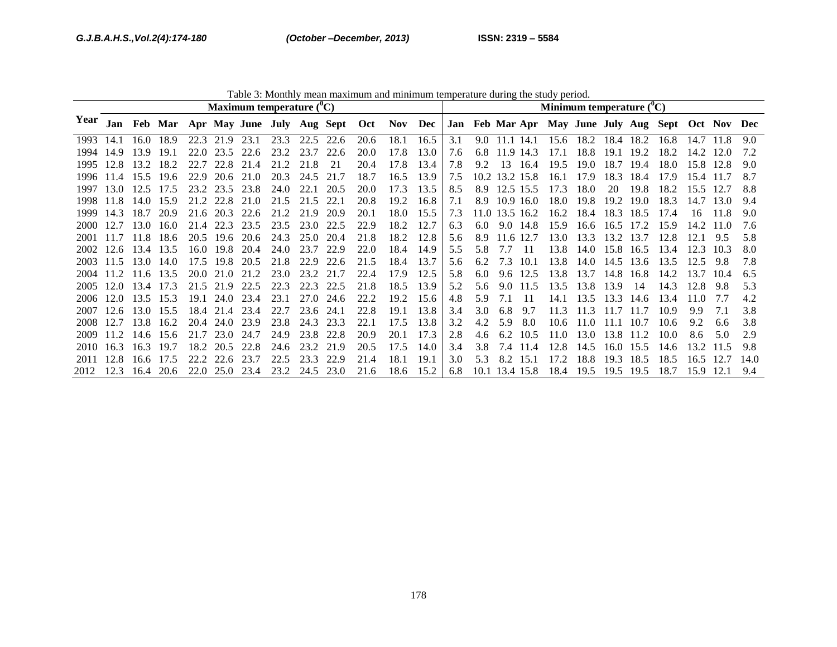| Table 3: Monthly mean maximum and minimum temperature during the study period. |                             |             |           |      |                |                |      |           |      |                                                    |      |      |     |     |                |           |      |           |           |           |                                                    |           |        |      |
|--------------------------------------------------------------------------------|-----------------------------|-------------|-----------|------|----------------|----------------|------|-----------|------|----------------------------------------------------|------|------|-----|-----|----------------|-----------|------|-----------|-----------|-----------|----------------------------------------------------|-----------|--------|------|
|                                                                                | Maximum temperature $(^0C)$ |             |           |      |                |                |      |           |      | Minimum temperature $(^0C)$                        |      |      |     |     |                |           |      |           |           |           |                                                    |           |        |      |
| Year                                                                           |                             |             |           |      |                |                |      |           |      | Jan Feb Mar Apr May June July Aug Sept Oct Nov Dec |      |      |     |     |                |           |      |           |           |           | Jan Feb Mar Apr May June July Aug Sept Oct Nov Dec |           |        |      |
| 1993                                                                           | 14.1                        |             | 16.0 18.9 |      | 22.3 21.9 23.1 |                | 23.3 | 22.5 22.6 |      | 20.6                                               | 18.1 | 16.5 | 3.1 |     | 9.0 11.1 14.1  |           |      | 15.6 18.2 |           | 18.4 18.2 | 16.8                                               | 14.7      |        | 90   |
| 1994                                                                           | 14.9                        | 13.9        | -19.1     | 22.0 | 23.5           | 22.6           | 23.2 | 23.7      | 22.6 | 20.0                                               | 17.8 | 13.0 | 7.6 | 6.8 | 11.9 14.3      |           | 17.1 | 18.8      | 19.1      | 19.2      | 18.2                                               | 14.2      | -12.0  | 72   |
| 1995                                                                           | 12.8                        | 13.2        | 18.2      | 22.7 | 22.8           | 21.4           | 21.2 | 21.8      | 21   | 20.4                                               | 17.8 | 13.4 | 7.8 | 9.2 | 13             | 16.4      | 19.5 | 19.0      | 18.7      | 19.4      | 18.0                                               | 15.8      | 12.8   | 9.0  |
| 1996                                                                           | 11.4                        | 15.5        | -19.6     | 22.9 | 20.6           | 21.0           | 20.3 | 24.5      | 21.7 | 18.7                                               | 16.5 | 13.9 | 7.5 |     | 10.2 13.2 15.8 |           | 16.1 | 17.9      | 18.3      | -18.4     | 17.9                                               | 15.4 11.7 |        | 8.7  |
| 1997                                                                           | 13.0                        | 12.5        | 17.5      |      |                | 23.2 23.5 23.8 | 24.0 | 22.1      | 20.5 | 20.0                                               | 17.3 | 13.5 | 8.5 |     | 8.9 12.5 15.5  |           | 17.3 | 18.0      | 20        | 19.8      | 18.2                                               | 15.5      | - 12.7 | 8.8  |
| 1998                                                                           | 11.8                        |             | 14.0 15.9 |      |                | 21.2 22.8 21.0 | 21.5 | 21.5      | 22.1 | 20.8                                               | 19.2 | 16.8 | 7.1 | 8.9 |                | 10.9 16.0 | 18.0 | 19.8      | 19.2      | 19.0      | 18.3                                               | 14.7      | 13.0   | 9.4  |
| 1999                                                                           | 14.3                        | 18.7        | 20.9      |      | 21.6 20.3      | 22.6           | 21.2 | 21.9      | 20.9 | 20.1                                               | 18.0 | 15.5 | 7.3 |     | 11.0 13.5 16.2 |           | 16.2 | 18.4      | 18.3 18.5 |           | 17.4                                               | 16        | 11.8   | 9.0  |
| 2000-                                                                          | 12.7                        | 13.0        | 16.0      | 21.4 | 22.3           | 23.5           | 23.5 | 23.0      | 22.5 | 22.9                                               | 18.2 | 12.7 | 6.3 | 6.0 |                | 9.0 14.8  | 15.9 | 16.6      | 16.5      | 172       | 15.9                                               | 14.2      | 11 0   | 76   |
| 2001                                                                           | 117                         | 11.8        | -18.6     | 20.5 | 19.6           | 20.6           | 24.3 | 25.0      | 20.4 | 21.8                                               | 18.2 | 12.8 | 5.6 | 8.9 | 11.6 12.7      |           | 13.0 | 13.3      |           | 13.2 13.7 | 12.8                                               | 12.1      | 9.5    | 5.8  |
| 2002                                                                           |                             | 12.6 13.4   | 13.5      |      | 16.0 19.8      | 20.4           | 24.0 | 23.7      | 22.9 | 22.0                                               | 18.4 | 14.9 | 5.5 | 5.8 | 7.7 11         |           | 13.8 | 14.0      | 15.8 16.5 |           | 13.4                                               | 12.3      | 10.3   | 8.0  |
| 2003.                                                                          | 11.5                        |             | 13.0 14.0 | 17.5 | 19.8           | 20.5           | 21.8 | 22.9      | 22.6 | 21.5                                               | 18.4 | 13.7 | 5.6 | 6.2 | 7.3            | 10.1      | 13.8 | 14.0      | 14.5      | 13.6      | 13.5                                               | 12.5      | -9.8   | 7.8  |
| 2004                                                                           |                             | $11.2$ 11.6 | 13.5      |      | 20.0 21.0      | 21.2           | 23.0 | 23.2      | 21.7 | 22.4                                               | 17.9 | 12.5 | 5.8 | 6.0 |                | 9.6 12.5  | 13.8 | 13.7      | 14.8      | 16.8      | 14.2                                               | 13.7      | 10.4   | 6.5  |
| 2005                                                                           | 12.0                        | 13.4        | 17.3      |      | 21.5 21.9      | 22.5           | 22.3 | 22.3      | 22.5 | 21.8                                               | 18.5 | 13.9 | 5.2 | 5.6 |                | 9.0 11.5  | 13.5 | 13.8      | 13.9      | -14       | 14.3                                               | 12.8      | -9.8   | 5.3  |
| 2006                                                                           | 12.0                        | 13.5        | 15.3      | 19.1 | 24.0           | 23.4           | 23.1 | 27.0      | 24.6 | 22.2                                               | 19.2 | 15.6 | 4.8 | 5.9 | 7.1            | -11       | 14.1 | 13.5      | 13.3      | 14.6      | 13.4                                               | 11.0      | 7.7    | 4.2  |
| 2007                                                                           | 12.6                        |             | 13.0 15.5 |      |                | 18.4 21.4 23.4 | 22.7 | 23.6 24.1 |      | 22.8                                               | 19.1 | 13.8 | 3.4 | 3.0 | 6.8            | 9.7       | 11.3 | 11.3      | 11.7      | 11.7      | 10.9                                               | 9.9       | 7.1    | 3.8  |
| 2008                                                                           | 12.7                        | 13.8        | 16.2      |      | 20.4 24.0      | 23.9           | 23.8 | 24.3      | 23.3 | 22.1                                               | 17.5 | 13.8 | 3.2 | 4.2 | 5.9            | 8.0       | 10.6 | 11.0      | -11.1     | 10.7      | 10.6                                               | 9.2       | 6.6    | 3.8  |
| 2009                                                                           | 11.2                        | 14.6        | 15.6      | 21.7 | 23.0           | 24.7           | 24.9 | 23.8 22.8 |      | 20.9                                               | 20.1 | 17.3 | 2.8 | 4.6 | 6.2            | 10.5      | 11.0 | 13.0      | 13.8      | 11.2      | 10.0                                               | 8.6       | 5.0    | 2.9  |
| 2010                                                                           | 16.3                        | 16.3        | 19.7      | 18.2 | 20.5           | 22.8           | 24.6 | 23.2      | 21.9 | 20.5                                               | 17.5 | 14.0 | 3.4 | 3.8 | 7.4            | 11.4      | 12.8 | 14.5      | 16.0      | 15.5      | 14.6                                               | 13.2      | 11.5   | 9.8  |
| 2011                                                                           | 12.8                        | 16.6        | 17.5      |      | 22.2 22.6      | 23.7           | 22.5 | 23.3      | 22.9 | 21.4                                               | 18.1 | 19.1 | 3.0 | 5.3 | 8.2            | 15.1      | 17.2 | 18.8      | 19.3      | 18.5      | 18.5                                               | 16.5      | 12.7   | 14.0 |
| 2012                                                                           | 12.3                        | 16.4        | 20.6      | 22.0 |                | 25.0 23.4      | 23.2 | 24.5      | 23.0 | 21.6                                               | 18.6 | 15.2 | 6.8 |     | 10.1 13.4 15.8 |           | 18.4 | 19.5      | 19.5 19.5 |           | 18.7                                               | 15.9      | 12.1   | 9.4  |

Table 3: Monthly mean maximum and minimum temperature during the study period.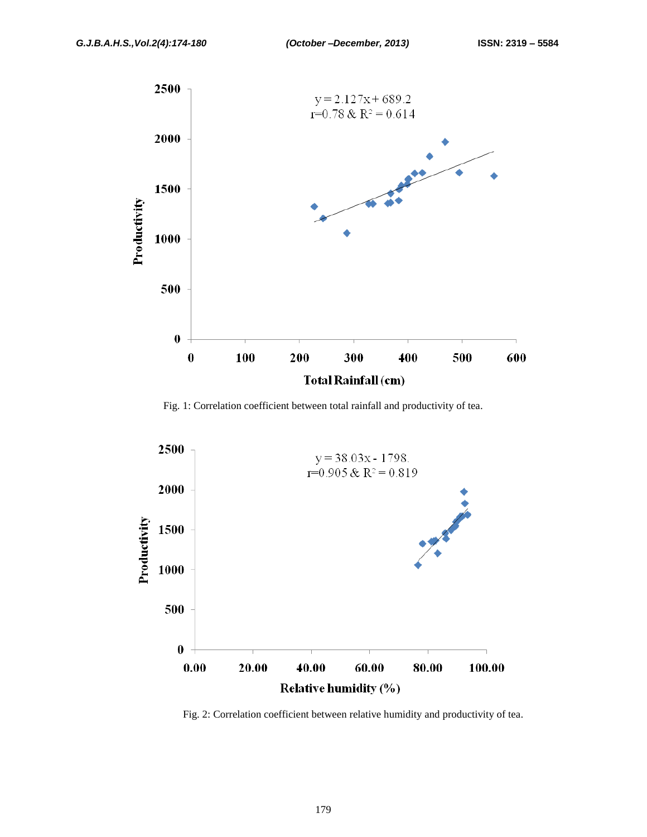

Fig. 1: Correlation coefficient between total rainfall and productivity of tea.



Fig. 2: Correlation coefficient between relative humidity and productivity of tea.